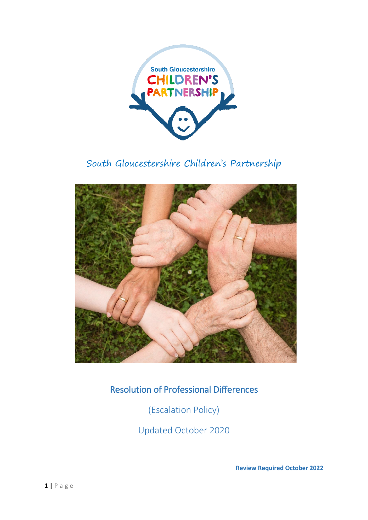

# South Gloucestershire Children's Partnership



Resolution of Professional Differences

(Escalation Policy)

Updated October 2020

**Review Required October 2022**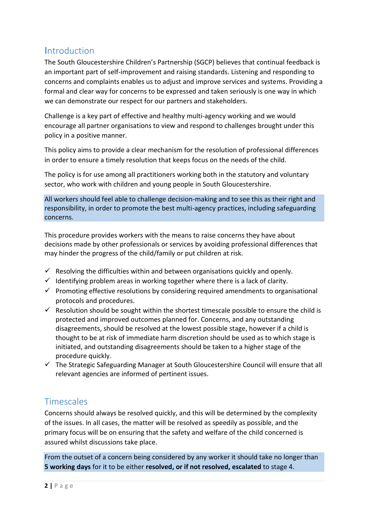### **Introduction**

The South Gloucestershire Children's Partnership (SGCP) believes that continual feedback is an important part of self-improvement and raising standards. Listening and responding to concerns and complaints enables us to adjust and improve services and systems. Providing a formal and clear way for concerns to be expressed and taken seriously is one way in which we can demonstrate our respect for our partners and stakeholders.

Challenge is a key part of effective and healthy multi-agency working and we would encourage all partner organisations to view and respond to challenges brought under this policy in a positive manner.

This policy aims to provide a clear mechanism for the resolution of professional differences in order to ensure a timely resolution that keeps focus on the needs of the child.

The policy is for use among all practitioners working both in the statutory and voluntary sector, who work with children and young people in South Gloucestershire.

All workers should feel able to challenge decision-making and to see this as their right and responsibility, in order to promote the best multi-agency practices, including safeguarding concerns.

This procedure provides workers with the means to raise concerns they have about decisions made by other professionals or services by avoiding professional differences that may hinder the progress of the child/family or put children at risk.

- $\checkmark$  Resolving the difficulties within and between organisations quickly and openly.
- $\checkmark$  Identifying problem areas in working together where there is a lack of clarity.
- $\checkmark$  Promoting effective resolutions by considering required amendments to organisational protocols and procedures.
- $\checkmark$  Resolution should be sought within the shortest timescale possible to ensure the child is protected and improved outcomes planned for. Concerns, and any outstanding disagreements, should be resolved at the lowest possible stage, however if a child is thought to be at risk of immediate harm discretion should be used as to which stage is initiated, and outstanding disagreements should be taken to a higher stage of the procedure quickly.
- $\checkmark$  The Strategic Safeguarding Manager at South Gloucestershire Council will ensure that all relevant agencies are informed of pertinent issues.

### **Timescales**

Concerns should always be resolved quickly, and this will be determined by the complexity of the issues. In all cases, the matter will be resolved as speedily as possible, and the primary focus will be on ensuring that the safety and welfare of the child concerned is assured whilst discussions take place.

From the outset of a concern being considered by any worker it should take no longer than **5 working days** for it to be either **resolved, or if not resolved, escalated** to stage 4.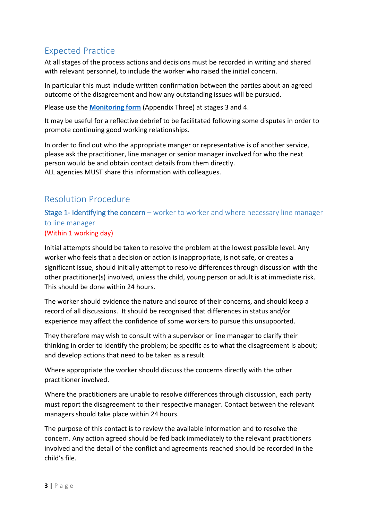### Expected Practice

At all stages of the process actions and decisions must be recorded in writing and shared with relevant personnel, to include the worker who raised the initial concern.

In particular this must include written confirmation between the parties about an agreed outcome of the disagreement and how any outstanding issues will be pursued.

Please use the **[Monitoring form](#page-7-0)** (Appendix Three) at stages 3 and 4.

It may be useful for a reflective debrief to be facilitated following some disputes in order to promote continuing good working relationships.

In order to find out who the appropriate manger or representative is of another service, please ask the practitioner, line manager or senior manager involved for who the next person would be and obtain contact details from them directly. ALL agencies MUST share this information with colleagues.

### Resolution Procedure

Stage 1- Identifying the concern – worker to worker and where necessary line manager to line manager

#### (Within 1 working day)

Initial attempts should be taken to resolve the problem at the lowest possible level. Any worker who feels that a decision or action is inappropriate, is not safe, or creates a significant issue, should initially attempt to resolve differences through discussion with the other practitioner(s) involved, unless the child, young person or adult is at immediate risk. This should be done within 24 hours.

The worker should evidence the nature and source of their concerns, and should keep a record of all discussions. It should be recognised that differences in status and/or experience may affect the confidence of some workers to pursue this unsupported.

They therefore may wish to consult with a supervisor or line manager to clarify their thinking in order to identify the problem; be specific as to what the disagreement is about; and develop actions that need to be taken as a result.

Where appropriate the worker should discuss the concerns directly with the other practitioner involved.

Where the practitioners are unable to resolve differences through discussion, each party must report the disagreement to their respective manager. Contact between the relevant managers should take place within 24 hours.

The purpose of this contact is to review the available information and to resolve the concern. Any action agreed should be fed back immediately to the relevant practitioners involved and the detail of the conflict and agreements reached should be recorded in the child's file.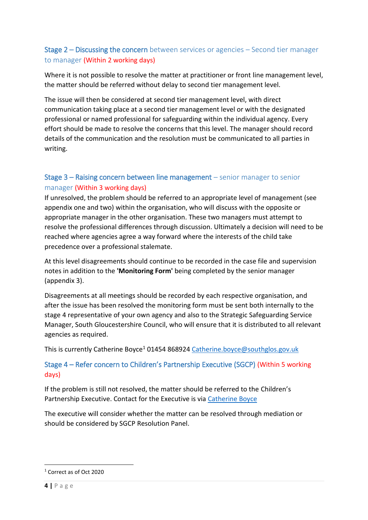#### Stage 2 – Discussing the concern between services or agencies – Second tier manager to manager (Within 2 working days)

Where it is not possible to resolve the matter at practitioner or front line management level, the matter should be referred without delay to second tier management level.

The issue will then be considered at second tier management level, with direct communication taking place at a second tier management level or with the designated professional or named professional for safeguarding within the individual agency. Every effort should be made to resolve the concerns that this level. The manager should record details of the communication and the resolution must be communicated to all parties in writing.

### Stage 3 – Raising concern between line management – senior manager to senior manager (Within 3 working days)

If unresolved, the problem should be referred to an appropriate level of management (see appendix one and two) within the organisation, who will discuss with the opposite or appropriate manager in the other organisation. These two managers must attempt to resolve the professional differences through discussion. Ultimately a decision will need to be reached where agencies agree a way forward where the interests of the child take precedence over a professional stalemate.

At this level disagreements should continue to be recorded in the case file and supervision notes in addition to the **'Monitoring Form'** being completed by the senior manager (appendix 3).

Disagreements at all meetings should be recorded by each respective organisation, and after the issue has been resolved the monitoring form must be sent both internally to the stage 4 representative of your own agency and also to the Strategic Safeguarding Service Manager, South Gloucestershire Council, who will ensure that it is distributed to all relevant agencies as required.

This is currently Catherine Boyce<sup>1</sup> 01454 868924 [Catherine.boyce@southglos.gov.uk](mailto:Catherine.boyce@southglos.gov.uk?subject=Escalation%20-Resolution%20of%20Professional%20Differences)

#### Stage 4 – Refer concern to Children's Partnership Executive (SGCP) (Within 5 working days)

If the problem is still not resolved, the matter should be referred to the Children's Partnership Executive. Contact for the Executive is via [Catherine Boyce](mailto:cathreine.boyce@southglos.gov.uk?subject=Resolution%20of%20Professional%20Differences%20-%20STAGE%204)

The executive will consider whether the matter can be resolved through mediation or should be considered by SGCP Resolution Panel.

**.** 

<sup>1</sup> Correct as of Oct 2020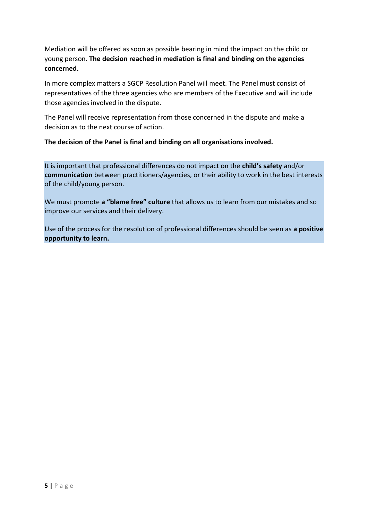Mediation will be offered as soon as possible bearing in mind the impact on the child or young person. **The decision reached in mediation is final and binding on the agencies concerned.**

In more complex matters a SGCP Resolution Panel will meet. The Panel must consist of representatives of the three agencies who are members of the Executive and will include those agencies involved in the dispute.

The Panel will receive representation from those concerned in the dispute and make a decision as to the next course of action.

**The decision of the Panel is final and binding on all organisations involved.**

It is important that professional differences do not impact on the **child's safety** and/or **communication** between practitioners/agencies, or their ability to work in the best interests of the child/young person.

We must promote **a "blame free" culture** that allows us to learn from our mistakes and so improve our services and their delivery.

Use of the process for the resolution of professional differences should be seen as **a positive opportunity to learn.**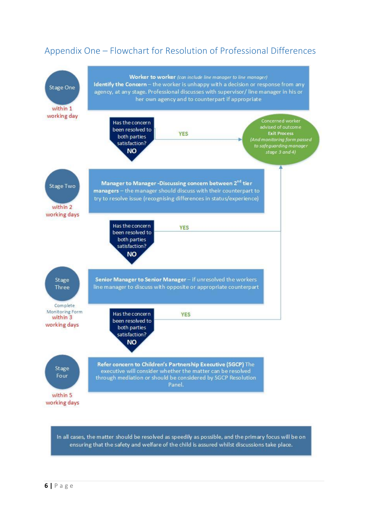## Appendix One – Flowchart for Resolution of Professional Differences



In all cases, the matter should be resolved as speedily as possible, and the primary focus will be on ensuring that the safety and welfare of the child is assured whilst discussions take place.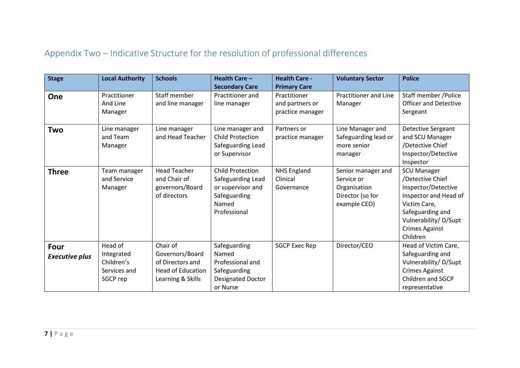## Appendix Two – Indicative Structure for the resolution of professional differences

| <b>Stage</b>                         | <b>Local Authority</b>                                          | <b>Schools</b>                                                                            | Health Care -<br><b>Secondary Care</b>                                                                     | <b>Health Care -</b><br><b>Primary Care</b>         | <b>Voluntary Sector</b>                                                              | <b>Police</b>                                                                                                                                                                           |
|--------------------------------------|-----------------------------------------------------------------|-------------------------------------------------------------------------------------------|------------------------------------------------------------------------------------------------------------|-----------------------------------------------------|--------------------------------------------------------------------------------------|-----------------------------------------------------------------------------------------------------------------------------------------------------------------------------------------|
| One                                  | Practitioner<br>And Line<br>Manager                             | Staff member<br>and line manager                                                          | Practitioner and<br>line manager                                                                           | Practitioner<br>and partners or<br>practice manager | <b>Practitioner and Line</b><br>Manager                                              | Staff member /Police<br><b>Officer and Detective</b><br>Sergeant                                                                                                                        |
| Two                                  | Line manager<br>and Team<br>Manager                             | Line manager<br>and Head Teacher                                                          | Line manager and<br><b>Child Protection</b><br>Safeguarding Lead<br>or Supervisor                          | Partners or<br>practice manager                     | Line Manager and<br>Safeguarding lead or<br>more senior<br>manager                   | Detective Sergeant<br>and SCU Manager<br>/Detective Chief<br>Inspector/Detective<br>Inspector                                                                                           |
| <b>Three</b>                         | Team manager<br>and Service<br>Manager                          | <b>Head Teacher</b><br>and Chair of<br>governors/Board<br>of directors                    | <b>Child Protection</b><br>Safeguarding Lead<br>or supervisor and<br>Safeguarding<br>Named<br>Professional | <b>NHS England</b><br>Clinical<br>Governance        | Senior manager and<br>Service or<br>Organisation<br>Director (so for<br>example CEO) | <b>SCU Manager</b><br>/Detective Chief<br>Inspector/Detective<br>Inspector and Head of<br>Victim Care,<br>Safeguarding and<br>Vulnerability/D/Supt<br><b>Crimes Against</b><br>Children |
| <b>Four</b><br><b>Executive plus</b> | Head of<br>Integrated<br>Children's<br>Services and<br>SGCP rep | Chair of<br>Governors/Board<br>of Directors and<br>Head of Education<br>Learning & Skills | Safeguarding<br>Named<br>Professional and<br>Safeguarding<br><b>Designated Doctor</b><br>or Nurse          | <b>SGCP Exec Rep</b>                                | Director/CEO                                                                         | Head of Victim Care,<br>Safeguarding and<br>Vulnerability/D/Supt<br><b>Crimes Against</b><br>Children and SGCP<br>representative                                                        |